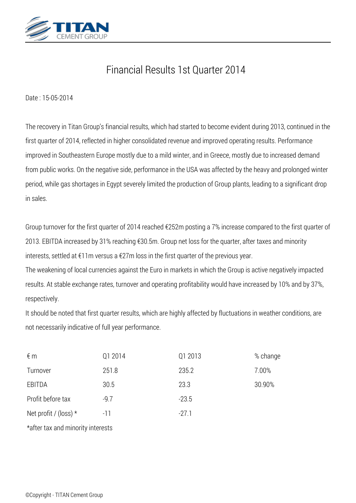

## *Financial Results 1st Quarter 2014*

*Date : 15-05-2014*

*The recovery in Titan Group's financial results, which had started to become evident during 2013, continued in the first quarter of 2014, reflected in higher consolidated revenue and improved operating results. Performance improved in Southeastern Europe mostly due to a mild winter, and in Greece, mostly due to increased demand from public works. On the negative side, performance in the USA was affected by the heavy and prolonged winter period, while gas shortages in Egypt severely limited the production of Group plants, leading to a significant drop in sales.*

*Group turnover for the first quarter of 2014 reached €252m posting a 7% increase compared to the first quarter of 2013. EBITDA increased by 31% reaching €30.5m. Group net loss for the quarter, after taxes and minority interests, settled at €11m versus a €27m loss in the first quarter of the previous year.*

*The weakening of local currencies against the Euro in markets in which the Group is active negatively impacted results. At stable exchange rates, turnover and operating profitability would have increased by 10% and by 37%, respectively.*

*It should be noted that first quarter results, which are highly affected by fluctuations in weather conditions, are not necessarily indicative of full year performance.*

| $\notin$ m                        | Q1 2014 | Q1 2013 | % change |
|-----------------------------------|---------|---------|----------|
| Turnover                          | 251.8   | 235.2   | 7.00%    |
| EBITDA                            | 30.5    | 23.3    | 30.90%   |
| Profit before tax                 | $-9.7$  | $-23.5$ |          |
| Net profit / (loss) $*$           | $-11$   | $-27.1$ |          |
| *after tax and minority interests |         |         |          |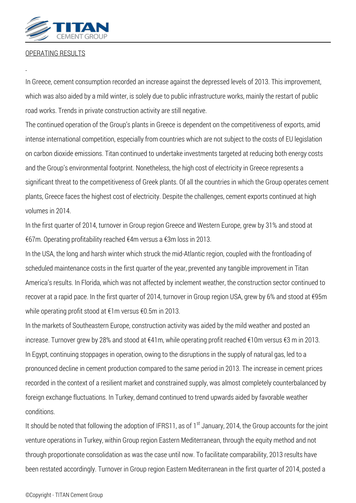

## *OPERATING RESULTS*

*In Greece, cement consumption recorded an increase against the depressed levels of 2013. This improvement, which was also aided by a mild winter, is solely due to public infrastructure works, mainly the restart of public road works. Trends in private construction activity are still negative.*

*The continued operation of the Group's plants in Greece is dependent on the competitiveness of exports, amid intense international competition, especially from countries which are not subject to the costs of EU legislation on carbon dioxide emissions. Titan continued to undertake investments targeted at reducing both energy costs and the Group's environmental footprint. Nonetheless, the high cost of electricity in Greece represents a significant threat to the competitiveness of Greek plants. Of all the countries in which the Group operates cement plants, Greece faces the highest cost of electricity. Despite the challenges, cement exports continued at high volumes in 2014.*

*In the first quarter of 2014, turnover in Group region Greece and Western Europe, grew by 31% and stood at €67m. Operating profitability reached €4m versus a €3m loss in 2013.*

*In the USA, the long and harsh winter which struck the mid-Atlantic region, coupled with the frontloading of scheduled maintenance costs in the first quarter of the year, prevented any tangible improvement in Titan America's results. In Florida, which was not affected by inclement weather, the construction sector continued to recover at a rapid pace. In the first quarter of 2014, turnover in Group region USA, grew by 6% and stood at €95m while operating profit stood at €1m versus €0.5m in 2013.*

*In the markets of Southeastern Europe, construction activity was aided by the mild weather and posted an increase. Turnover grew by 28% and stood at €41m, while operating profit reached €10m versus €3 m in 2013. In Egypt, continuing stoppages in operation, owing to the disruptions in the supply of natural gas, led to a pronounced decline in cement production compared to the same period in 2013. The increase in cement prices recorded in the context of a resilient market and constrained supply, was almost completely counterbalanced by foreign exchange fluctuations. In Turkey, demand continued to trend upwards aided by favorable weather conditions.*

*It should be noted that following the adoption of IFRS11, as of 1st January, 2014, the Group accounts for the joint venture operations in Turkey, within Group region Eastern Mediterranean, through the equity method and not through proportionate consolidation as was the case until now. To facilitate comparability, 2013 results have been restated accordingly. Turnover in Group region Eastern Mediterranean in the first quarter of 2014, posted a*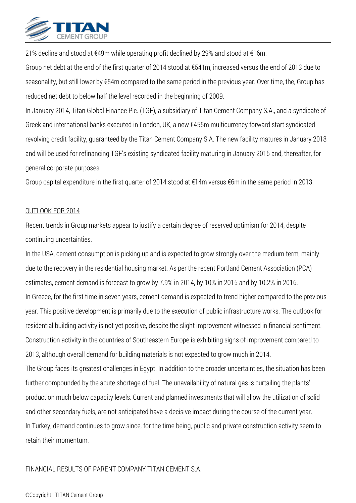

*21% decline and stood at €49m while operating profit declined by 29% and stood at €16m.*

*Group net debt at the end of the first quarter of 2014 stood at €541m, increased versus the end of 2013 due to seasonality, but still lower by €54m compared to the same period in the previous year. Over time, the, Group has reduced net debt to below half the level recorded in the beginning of 2009.*

*In January 2014, Titan Global Finance Plc. (TGF), a subsidiary of Titan Cement Company S.A., and a syndicate of Greek and international banks executed in London, UK, a new €455m multicurrency forward start syndicated revolving credit facility, guaranteed by the Titan Cement Company S.A. The new facility matures in January 2018 and will be used for refinancing TGF's existing syndicated facility maturing in January 2015 and, thereafter, for general corporate purposes.*

*Group capital expenditure in the first quarter of 2014 stood at €14m versus €6m in the same period in 2013.*

## *OUTLOOK FOR 2014*

*Recent trends in Group markets appear to justify a certain degree of reserved optimism for 2014, despite continuing uncertainties.*

*In the USA, cement consumption is picking up and is expected to grow strongly over the medium term, mainly due to the recovery in the residential housing market. As per the recent Portland Cement Association (PCA) estimates, cement demand is forecast to grow by 7.9% in 2014, by 10% in 2015 and by 10.2% in 2016. In Greece, for the first time in seven years, cement demand is expected to trend higher compared to the previous year. This positive development is primarily due to the execution of public infrastructure works. The outlook for residential building activity is not yet positive, despite the slight improvement witnessed in financial sentiment. Construction activity in the countries of Southeastern Europe is exhibiting signs of improvement compared to 2013, although overall demand for building materials is not expected to grow much in 2014. The Group faces its greatest challenges in Egypt. In addition to the broader uncertainties, the situation has been further compounded by the acute shortage of fuel. The unavailability of natural gas is curtailing the plants' production much below capacity levels. Current and planned investments that will allow the utilization of solid and other secondary fuels, are not anticipated have a decisive impact during the course of the current year. In Turkey, demand continues to grow since, for the time being, public and private construction activity seem to retain their momentum.*

## *FINANCIAL RESULTS OF PARENT COMPANY ΤΙΤΑΝ CEMENT S.Α.*